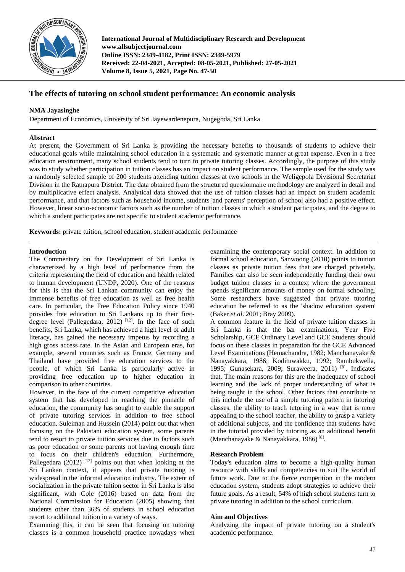

**International Journal of Multidisciplinary Research and Development www.allsubjectjournal.com Online ISSN: 2349-4182, Print ISSN: 2349-5979 Received: 22-04-2021, Accepted: 08-05-2021, Published: 27-05-2021 Volume 8, Issue 5, 2021, Page No. 47-50**

# **The effects of tutoring on school student performance: An economic analysis**

## **NMA Jayasinghe**

Department of Economics, University of Sri Jayewardenepura, Nugegoda, Sri Lanka

## **Abstract**

At present, the Government of Sri Lanka is providing the necessary benefits to thousands of students to achieve their educational goals while maintaining school education in a systematic and systematic manner at great expense. Even in a free education environment, many school students tend to turn to private tutoring classes. Accordingly, the purpose of this study was to study whether participation in tuition classes has an impact on student performance. The sample used for the study was a randomly selected sample of 200 students attending tuition classes at two schools in the Weligepola Divisional Secretariat Division in the Ratnapura District. The data obtained from the structured questionnaire methodology are analyzed in detail and by multiplicative effect analysis. Analytical data showed that the use of tuition classes had an impact on student academic performance, and that factors such as household income, students 'and parents' perception of school also had a positive effect. However, linear socio-economic factors such as the number of tuition classes in which a student participates, and the degree to which a student participates are not specific to student academic performance.

**Keywords:** private tuition, school education, student academic performance

## **Introduction**

The Commentary on the Development of Sri Lanka is characterized by a high level of performance from the criteria representing the field of education and health related to human development (UNDP, 2020). One of the reasons for this is that the Sri Lankan community can enjoy the immense benefits of free education as well as free health care. In particular, the Free Education Policy since 1940 provides free education to Sri Lankans up to their firstdegree level (Pallegedara, 2012)<sup>[12]</sup>. In the face of such benefits, Sri Lanka, which has achieved a high level of adult literacy, has gained the necessary impetus by recording a high gross access rate. In the Asian and European eras, for example, several countries such as France, Germany and Thailand have provided free education services to the people, of which Sri Lanka is particularly active in providing free education up to higher education in comparison to other countries.

However, in the face of the current competitive education system that has developed in reaching the pinnacle of education, the community has sought to enable the support of private tutoring services in addition to free school education. Suleiman and Hussein (2014) point out that when focusing on the Pakistani education system, some parents tend to resort to private tuition services due to factors such as poor education or some parents not having enough time to focus on their children's education. Furthermore, Pallegedara (2012)  $[12]$  points out that when looking at the Sri Lankan context, it appears that private tutoring is widespread in the informal education industry. The extent of socialization in the private tuition sector in Sri Lanka is also significant, with Cole (2016) based on data from the National Commission for Education (2005) showing that students other than 36% of students in school education resort to additional tuition in a variety of ways.

Examining this, it can be seen that focusing on tutoring classes is a common household practice nowadays when examining the contemporary social context. In addition to formal school education, Sanwoong (2010) points to tuition classes as private tuition fees that are charged privately. Families can also be seen independently funding their own budget tuition classes in a context where the government spends significant amounts of money on formal schooling. Some researchers have suggested that private tutoring education be referred to as the 'shadow education system' (Baker *et al*. 2001; Bray 2009).

A common feature in the field of private tuition classes in Sri Lanka is that the bar examinations, Year Five Scholarship, GCE Ordinary Level and GCE Students should focus on these classes in preparation for the GCE Advanced Level Examinations (Hemachandra, 1982; Manchanayake & Nanayakkara, 1986; Kodituwakku, 1992; Rambukwella, 1995; Gunasekara, 2009; Suraweera, 2011) [8] . Indicates that. The main reasons for this are the inadequacy of school learning and the lack of proper understanding of what is being taught in the school. Other factors that contribute to this include the use of a simple tutoring pattern in tutoring classes, the ability to teach tutoring in a way that is more appealing to the school teacher, the ability to grasp a variety of additional subjects, and the confidence that students have in the tutorial provided by tutoring as an additional benefit (Manchanayake & Nanayakkara, 1986)<sup>[8]</sup>.

## **Research Problem**

Today's education aims to become a high-quality human resource with skills and competencies to suit the world of future work. Due to the fierce competition in the modern education system, students adopt strategies to achieve their future goals. As a result, 54% of high school students turn to private tutoring in addition to the school curriculum.

### **Aim and Objectives**

Analyzing the impact of private tutoring on a student's academic performance.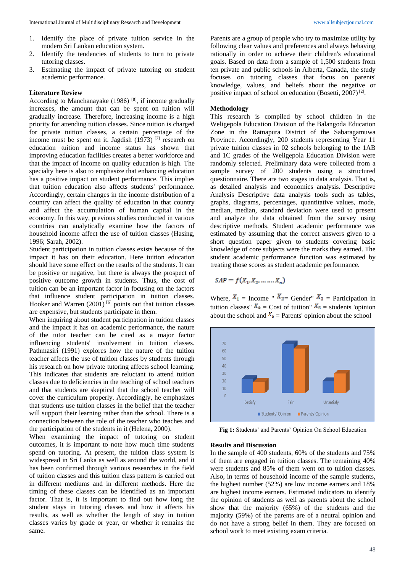- 1. Identify the place of private tuition service in the modern Sri Lankan education system.
- 2. Identify the tendencies of students to turn to private tutoring classes.
- 3. Estimating the impact of private tutoring on student academic performance.

### **Literature Review**

According to Manchanayake  $(1986)$ <sup>[8]</sup>, if income gradually increases, the amount that can be spent on tuition will gradually increase. Therefore, increasing income is a high priority for attending tuition classes. Since tuition is charged for private tuition classes, a certain percentage of the income must be spent on it. Jagdish (1973) [7] research on education tuition and income status has shown that improving education facilities creates a better workforce and that the impact of income on quality education is high. The specialty here is also to emphasize that enhancing education has a positive impact on student performance. This implies that tuition education also affects students' performance. Accordingly, certain changes in the income distribution of a country can affect the quality of education in that country and affect the accumulation of human capital in the economy. In this way, previous studies conducted in various countries can analytically examine how the factors of household income affect the use of tuition classes (Hasing, 1996; Sarah, 2002).

Student participation in tuition classes exists because of the impact it has on their education. Here tuition education should have some effect on the results of the students. It can be positive or negative, but there is always the prospect of positive outcome growth in students. Thus, the cost of tuition can be an important factor in focusing on the factors that influence student participation in tuition classes. Hooker and Warren  $(2001)$ <sup>[6]</sup> points out that tuition classes are expensive, but students participate in them.

When inquiring about student participation in tuition classes and the impact it has on academic performance, the nature of the tutor teacher can be cited as a major factor influencing students' involvement in tuition classes. Pathmasiri (1991) explores how the nature of the tuition teacher affects the use of tuition classes by students through his research on how private tutoring affects school learning. This indicates that students are reluctant to attend tuition classes due to deficiencies in the teaching of school teachers and that students are skeptical that the school teacher will cover the curriculum properly. Accordingly, he emphasizes that students use tuition classes in the belief that the teacher will support their learning rather than the school. There is a connection between the role of the teacher who teaches and the participation of the students in it (Helena, 2000).

When examining the impact of tutoring on student outcomes, it is important to note how much time students spend on tutoring. At present, the tuition class system is widespread in Sri Lanka as well as around the world, and it has been confirmed through various researches in the field of tuition classes and this tuition class pattern is carried out in different mediums and in different methods. Here the timing of these classes can be identified as an important factor. That is, it is important to find out how long the student stays in tutoring classes and how it affects his results, as well as whether the length of stay in tuition classes varies by grade or year, or whether it remains the same.

Parents are a group of people who try to maximize utility by following clear values and preferences and always behaving rationally in order to achieve their children's educational goals. Based on data from a sample of 1,500 students from ten private and public schools in Alberta, Canada, the study focuses on tutoring classes that focus on parents' knowledge, values, and beliefs about the negative or positive impact of school on education (Bosetti, 2007)<sup>[2]</sup>.

### **Methodology**

This research is compiled by school children in the Weligepola Education Division of the Balangoda Education Zone in the Ratnapura District of the Sabaragamuwa Province. Accordingly, 200 students representing Year 11 private tuition classes in 02 schools belonging to the 1AB and 1C grades of the Weligepola Education Division were randomly selected. Preliminary data were collected from a sample survey of 200 students using a structured questionnaire. There are two stages in data analysis. That is, as detailed analysis and economics analysis. Descriptive Analysis Descriptive data analysis tools such as tables, graphs, diagrams, percentages, quantitative values, mode, median, median, standard deviation were used to present and analyze the data obtained from the survey using descriptive methods. Student academic performance was estimated by assuming that the correct answers given to a short question paper given to students covering basic knowledge of core subjects were the marks they earned. The student academic performance function was estimated by treating those scores as student academic performance.

$$
SAP = f(X_1, X_2, \dots, X_n)
$$

Where,  $X_1$  = Income "  $X_{2}$  Gender"  $X_3$  = Participation in tuition classes"  $X_4$  = Cost of tuition"  $X_5$  = students 'opinion about the school and  $X_5$  = Parents' opinion about the school



**Fig 1:** Students' and Parents' Opinion On School Education

#### **Results and Discussion**

In the sample of 400 students, 60% of the students and 75% of them are engaged in tuition classes. The remaining 40% were students and 85% of them went on to tuition classes. Also, in terms of household income of the sample students, the highest number (52%) are low income earners and 18% are highest income earners. Estimated indicators to identify the opinion of students as well as parents about the school show that the majority (65%) of the students and the majority (59%) of the parents are of a neutral opinion and do not have a strong belief in them. They are focused on school work to meet existing exam criteria.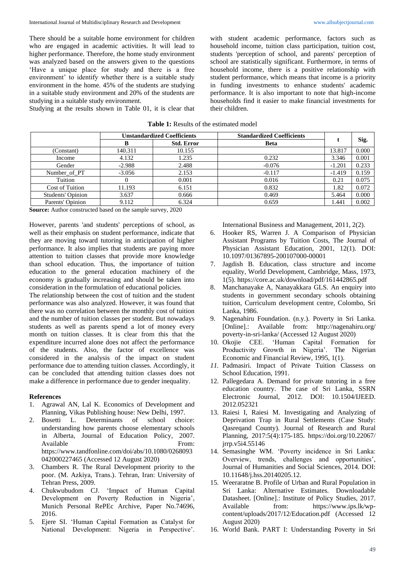There should be a suitable home environment for children who are engaged in academic activities. It will lead to higher performance. Therefore, the home study environment was analyzed based on the answers given to the questions 'Have a unique place for study and there is a free environment' to identify whether there is a suitable study environment in the home. 45% of the students are studying in a suitable study environment and 20% of the students are studying in a suitable study environment.

Studying at the results shown in Table 01, it is clear that

with student academic performance, factors such as household income, tuition class participation, tuition cost, students 'perception of school, and parents' perception of school are statistically significant. Furthermore, in terms of household income, there is a positive relationship with student performance, which means that income is a priority in funding investments to enhance students' academic performance. It is also important to note that high-income households find it easier to make financial investments for their children.

| <b>Table 1:</b> Results of the estimated model |
|------------------------------------------------|
|------------------------------------------------|

|                   | <b>Unstandardized Coefficients</b> |                   | <b>Standardized Coefficients</b> |          |       |
|-------------------|------------------------------------|-------------------|----------------------------------|----------|-------|
|                   |                                    | <b>Std. Error</b> | <b>Beta</b>                      |          | Sig.  |
| (Constant)        | 140.311                            | 10.155            |                                  | 13.817   | 0.000 |
| Income            | 4.132                              | 1.235             | 0.232                            | 3.346    | 0.001 |
| Gender            | $-2.988$                           | 2.488             | $-0.076$                         | $-1.201$ | 0.233 |
| Number of PT      | $-3.056$                           | 2.153             | $-0.117$                         | $-1.419$ | 0.159 |
| Tuition           |                                    | 0.001             | 0.016                            | 0.21     | 0.075 |
| Cost of Tuition   | 11.193                             | 6.151             | 0.832                            | 1.82     | 0.072 |
| Students' Opinion | 3.637                              | 0.666             | 0.469                            | 5.464    | 0.000 |
| Parents' Opinion  | 9.112                              | 6.324             | 0.659                            | 1.441    | 0.002 |

**Source:** Author constructed based on the sample survey, 2020

However, parents 'and students' perceptions of school, as well as their emphasis on student performance, indicate that they are moving toward tutoring in anticipation of higher performance. It also implies that students are paying more attention to tuition classes that provide more knowledge than school education. Thus, the importance of tuition education to the general education machinery of the economy is gradually increasing and should be taken into consideration in the formulation of educational policies.

The relationship between the cost of tuition and the student performance was also analyzed. However, it was found that there was no correlation between the monthly cost of tuition and the number of tuition classes per student. But nowadays students as well as parents spend a lot of money every month on tuition classes. It is clear from this that the expenditure incurred alone does not affect the performance of the students. Also, the factor of excellence was considered in the analysis of the impact on student performance due to attending tuition classes. Accordingly, it can be concluded that attending tuition classes does not make a difference in performance due to gender inequality.

### **References**

- 1. Agrawal AN, Lal K. Economics of Development and Planning, Vikas Publishing house: New Delhi, 1997.
- 2. Bosetti L. Determinants of school choice: understanding how parents choose elementary schools in Alberta*,* Journal of Education Policy, 2007. Available From: https://www.tandfonline.com/doi/abs/10.1080/0268093 042000227465 (Accessed 12 August 2020)
- 3. Chambers R. The Rural Development priority to the poor. (M. Azkiya, Trans.). Tehran, Iran: University of Tehran Press, 2009.
- 4. Chukwubudom CJ. 'Impact of Human Capital Development on Poverty Reduction in Nigeria', Munich Personal RePEc Archive*,* Paper No.74696, 2016.
- 5. Ejere SI. 'Human Capital Formation as Catalyst for National Development: Nigeria in Perspective'.

International Business and Management, 2011, 2(2).

- 6. Hooker RS, Warren J. A Comparison of Physician Assistant Programs by Tuition Costs, The Journal of Physician Assistant Education, 2001, 12(1). DOI: 10.1097/01367895-200107000-00001
- 7. Jagdish B. Education, class structure and income equality, World Development, Cambridge, Mass, 1973, 1(5). https://core.ac.uk/download/pdf/161442865.pdf
- 8. Manchanayake A, Nanayakkara GLS. An enquiry into students in government secondary schools obtaining tuition, Curriculum development centre, Colombo, Sri Lanka, 1986.
- 9. Nagenahiru Foundation. (n.y.). Poverty in Sri Lanka. [Online].: Available from: http://nagenahiru.org/ poverty-in-sri-lanka/ (Accessed 12 August 2020)
- 10. Okojie CEE. 'Human Capital Formation for Productivity Growth in Nigeria'. The Nigerian Economic and Financial Review, 1995, 1(1).
- *11.* Padmasiri. Impact of Private Tuition Classess on School Education*,* 1991.
- 12. Pallegedara A. Demand for private tutoring in a free education country. The case of Sri Lanka, SSRN Electronic Journal, 2012. DOI: 10.1504/IJEED. 2012.052321
- 13. Raiesi I, Raiesi M. Investigating and Analyzing of Deprivation Trap in Rural Settlements (Case Study: Qasreqand County). Journal of Research and Rural Planning, 2017:5(4):175-185. https://doi.org/10.22067/ jrrp.v5i4.55146
- 14. Semasinghe WM. 'Poverty incidence in Sri Lanka: Overview, trends, challenges and opportunities', Journal of Humanities and Social Sciences, 2014. DOI: 10.11648/j.hss.20140205.12.
- 15. Weeraratne B. Profile of Urban and Rural Population in Sri Lanka: Alternative Estimates. Downloadable Datasheet. [Online].: Institute of Policy Studies, 2017. Available from: https://www.ips.lk/wpcontent/uploads/2017/12/Education.pdf (Accessed 12 August 2020)
- 16. World Bank. PART I: Understanding Poverty in Sri